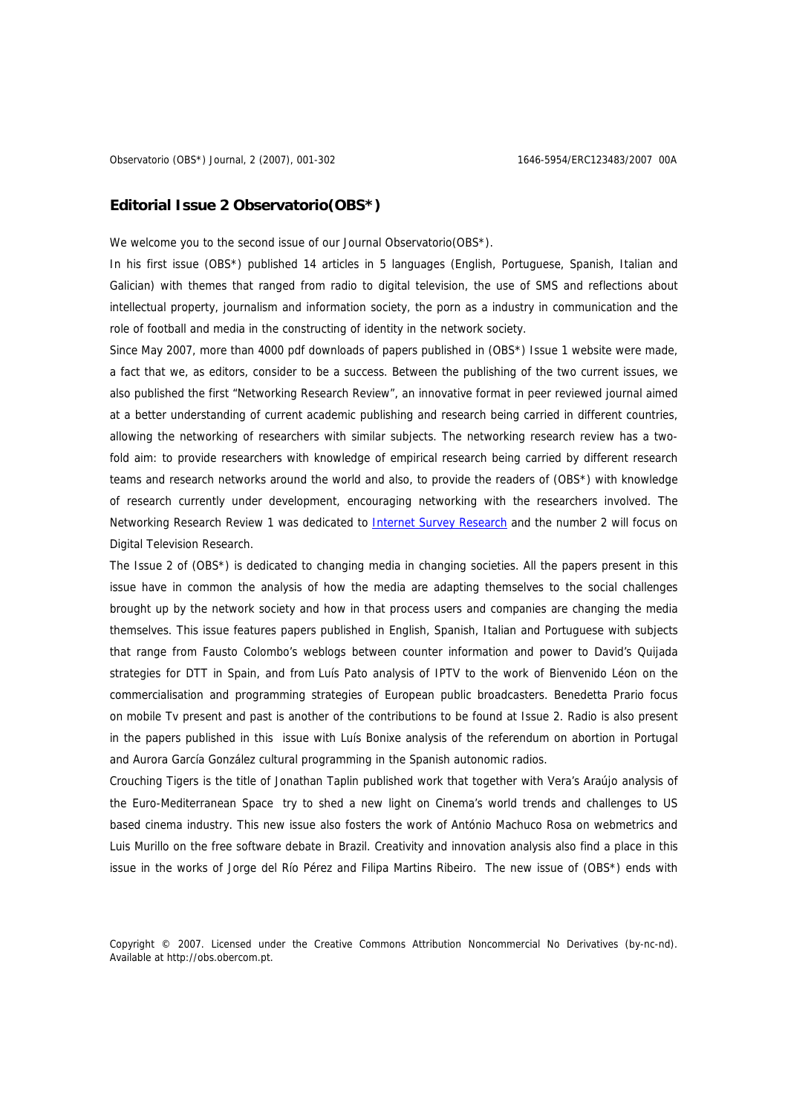## **Editorial Issue 2 Observatorio(OBS\*)**

We welcome you to the second issue of our Journal Observatorio (OBS\*).

In his first issue (OBS\*) published 14 articles in 5 languages (English, Portuguese, Spanish, Italian and Galician) with themes that ranged from radio to digital television, the use of SMS and reflections about intellectual property, journalism and information society, the porn as a industry in communication and the role of football and media in the constructing of identity in the network society.

Since May 2007, more than 4000 pdf downloads of papers published in (OBS\*) Issue 1 website were made, a fact that we, as editors, consider to be a success. Between the publishing of the two current issues, we also published the first "Networking Research Review", an innovative format in peer reviewed journal aimed at a better understanding of current academic publishing and research being carried in different countries, allowing the networking of researchers with similar subjects. The networking research review has a twofold aim: to provide researchers with knowledge of empirical research being carried by different research teams and research networks around the world and also, to provide the readers of (OBS\*) with knowledge of research currently under development, encouraging networking with the researchers involved. The Networking Research Review 1 was dedicated to **Internet Survey Research** and the number 2 will focus on Digital Television Research.

The Issue 2 of (OBS\*) is dedicated to changing media in changing societies. All the papers present in this issue have in common the analysis of how the media are adapting themselves to the social challenges brought up by the network society and how in that process users and companies are changing the media themselves. This issue features papers published in English, Spanish, Italian and Portuguese with subjects that range from Fausto Colombo's weblogs between counter information and power to David's Quijada strategies for DTT in Spain, and from Luís Pato analysis of IPTV to the work of Bienvenido Léon on the commercialisation and programming strategies of European public broadcasters. Benedetta Prario focus on mobile Tv present and past is another of the contributions to be found at Issue 2. Radio is also present in the papers published in this issue with Luís Bonixe analysis of the referendum on abortion in Portugal and Aurora García González cultural programming in the Spanish autonomic radios.

Crouching Tigers is the title of Jonathan Taplin published work that together with Vera's Araújo analysis of the Euro-Mediterranean Space try to shed a new light on Cinema's world trends and challenges to US based cinema industry. This new issue also fosters the work of António Machuco Rosa on webmetrics and Luis Murillo on the free software debate in Brazil. Creativity and innovation analysis also find a place in this issue in the works of Jorge del Río Pérez and Filipa Martins Ribeiro. The new issue of (OBS\*) ends with

Copyright © 2007. Licensed under the Creative Commons Attribution Noncommercial No Derivatives (by-nc-nd). Available at http://obs.obercom.pt.